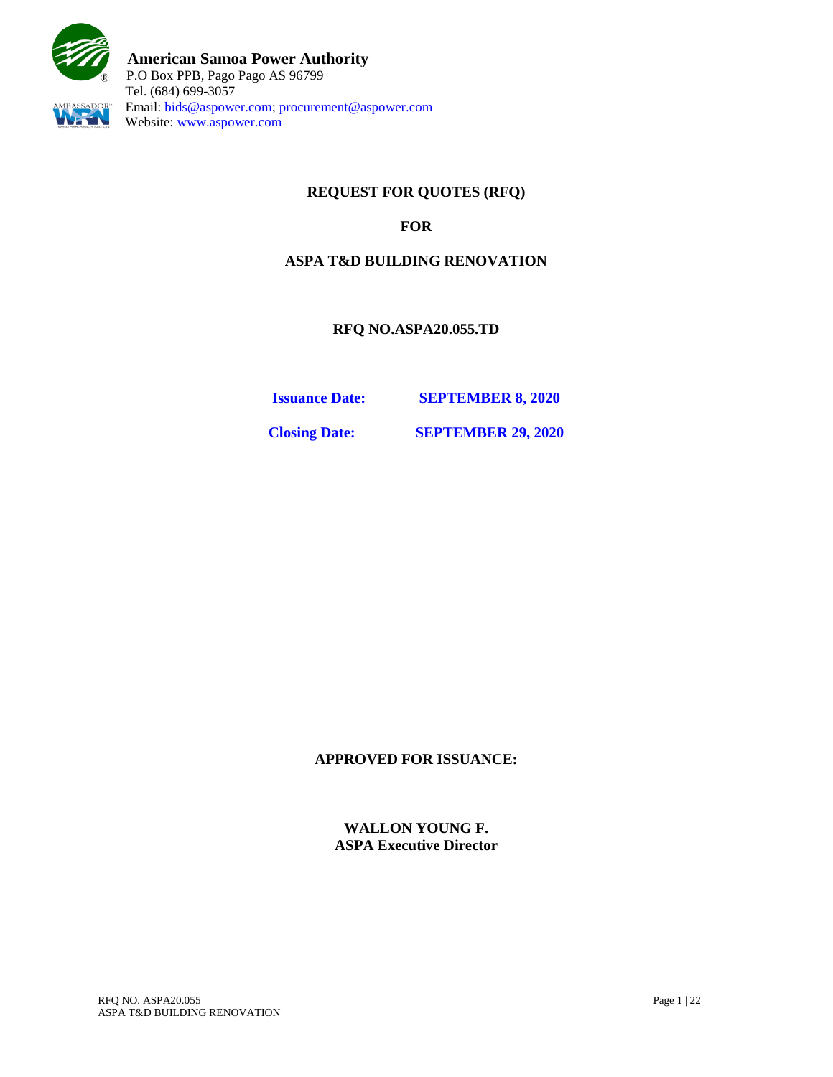

# **REQUEST FOR QUOTES (RFQ)**

## **FOR**

## **ASPA T&D BUILDING RENOVATION**

**RFQ NO.ASPA20.055.TD**

**Issuance Date: SEPTEMBER 8, 2020**

**Closing Date: SEPTEMBER 29, 2020**

**APPROVED FOR ISSUANCE:**

**WALLON YOUNG F. ASPA Executive Director**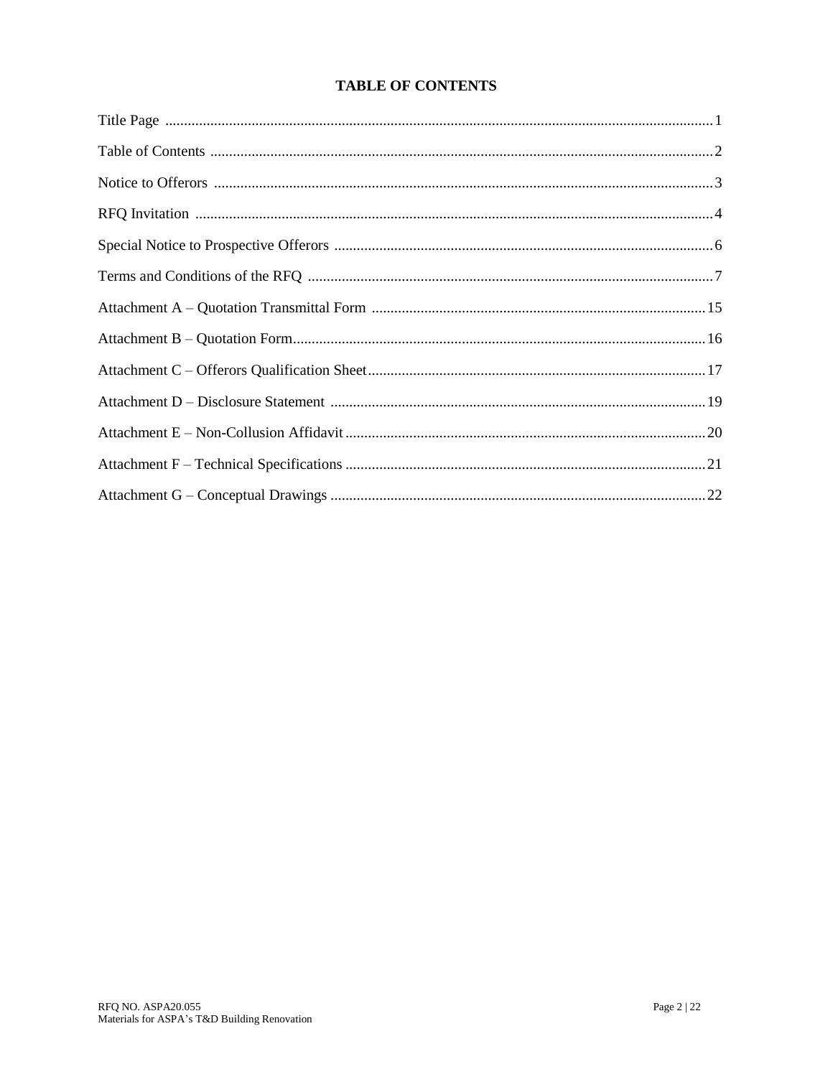# **TABLE OF CONTENTS**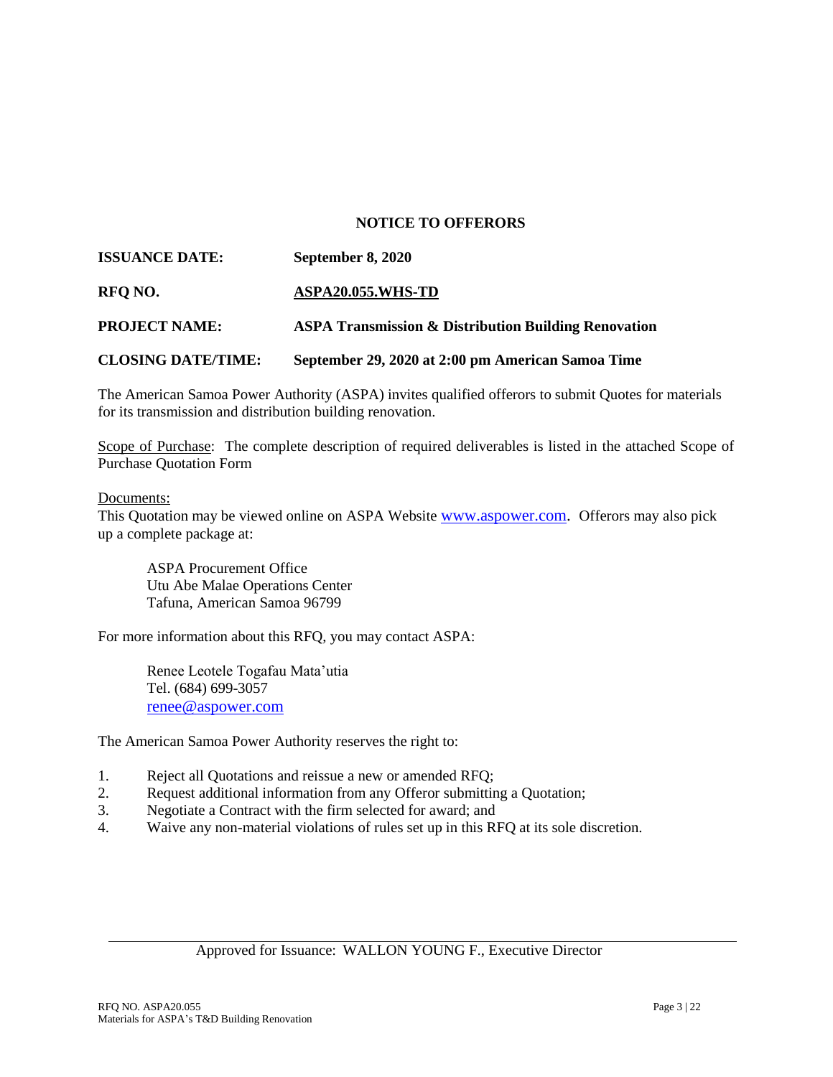#### **NOTICE TO OFFERORS**

| <b>ISSUANCE DATE:</b>     | September 8, 2020                                               |
|---------------------------|-----------------------------------------------------------------|
| RFO NO.                   | ASPA20.055.WHS-TD                                               |
| <b>PROJECT NAME:</b>      | <b>ASPA Transmission &amp; Distribution Building Renovation</b> |
| <b>CLOSING DATE/TIME:</b> | September 29, 2020 at 2:00 pm American Samoa Time               |

The American Samoa Power Authority (ASPA) invites qualified offerors to submit Quotes for materials for its transmission and distribution building renovation.

Scope of Purchase: The complete description of required deliverables is listed in the attached Scope of Purchase Quotation Form

#### Documents:

This Quotation may be viewed online on ASPA Website [www.aspower.com.](http://www.aspower.com/) Offerors may also pick up a complete package at:

ASPA Procurement Office Utu Abe Malae Operations Center Tafuna, American Samoa 96799

For more information about this RFQ, you may contact ASPA:

Renee Leotele Togafau Mata'utia Tel. (684) 699-3057 [renee@aspower.com](mailto:renee@aspower.com)

The American Samoa Power Authority reserves the right to:

- 1. Reject all Quotations and reissue a new or amended RFQ;
- 2. Request additional information from any Offeror submitting a Quotation;
- 3. Negotiate a Contract with the firm selected for award; and
- 4. Waive any non-material violations of rules set up in this RFQ at its sole discretion.

Approved for Issuance: WALLON YOUNG F., Executive Director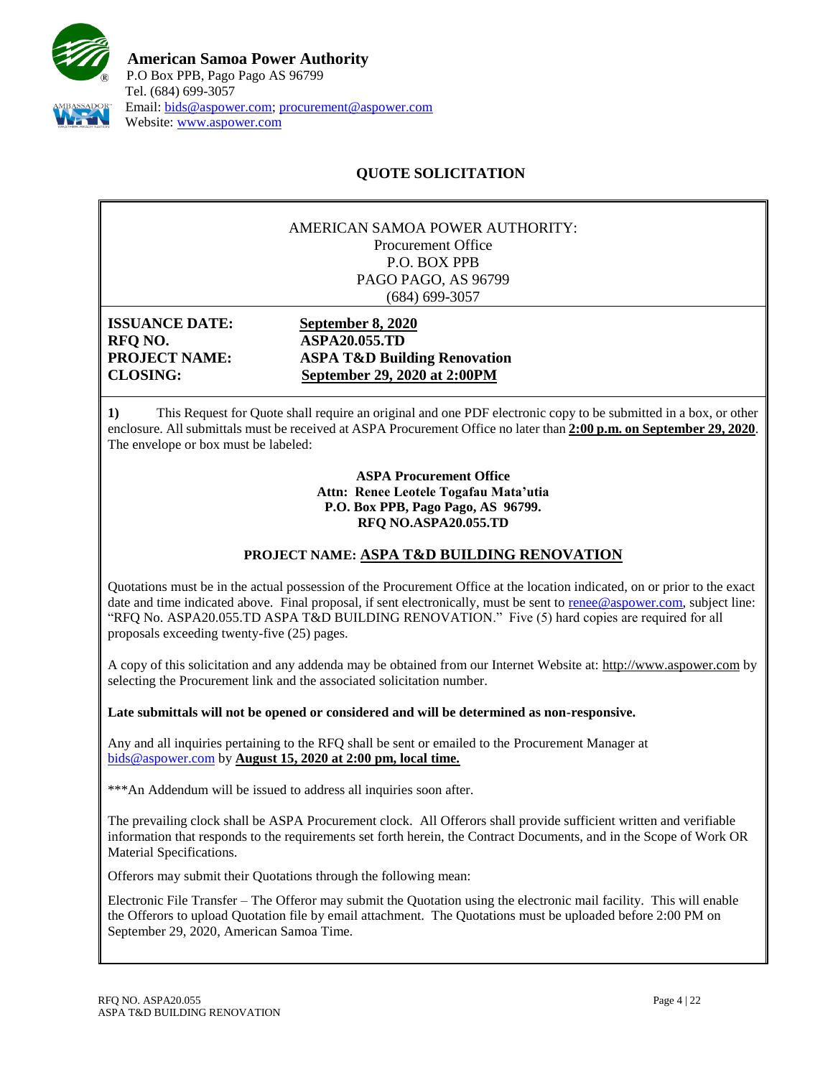

# **QUOTE SOLICITATION**

#### AMERICAN SAMOA POWER AUTHORITY: Procurement Office P.O. BOX PPB PAGO PAGO, AS 96799 (684) 699-3057

**RFQ NO. ASPA20.055.TD**

**ISSUANCE DATE: September 8, 2020 PROJECT NAME: ASPA T&D Building Renovation CLOSING: September 29, 2020 at 2:00PM**

**1)** This Request for Quote shall require an original and one PDF electronic copy to be submitted in a box, or other enclosure. All submittals must be received at ASPA Procurement Office no later than **2:00 p.m. on September 29, 2020**. The envelope or box must be labeled:

> **ASPA Procurement Office Attn: Renee Leotele Togafau Mata'utia P.O. Box PPB, Pago Pago, AS 96799. RFQ NO.ASPA20.055.TD**

### **PROJECT NAME: ASPA T&D BUILDING RENOVATION**

Quotations must be in the actual possession of the Procurement Office at the location indicated, on or prior to the exact date and time indicated above. Final proposal, if sent electronically, must be sent to [renee@aspower.com,](mailto:renee@aspower.com) subject line: "RFQ No. ASPA20.055.TD ASPA T&D BUILDING RENOVATION." Five (5) hard copies are required for all proposals exceeding twenty-five (25) pages.

A copy of this solicitation and any addenda may be obtained from our Internet Website at: [http://www.aspower.com](http://www.aspower.com/) by selecting the Procurement link and the associated solicitation number.

**Late submittals will not be opened or considered and will be determined as non-responsive.**

Any and all inquiries pertaining to the RFQ shall be sent or emailed to the Procurement Manager at [bids@aspower.com](mailto:bids@aspower.com) by **August 15, 2020 at 2:00 pm, local time.**

\*\*\*An Addendum will be issued to address all inquiries soon after.

The prevailing clock shall be ASPA Procurement clock. All Offerors shall provide sufficient written and verifiable information that responds to the requirements set forth herein, the Contract Documents, and in the Scope of Work OR Material Specifications.

**2)** Offerors may submit their Quotations through the following mean:

Electronic File Transfer – The Offeror may submit the Quotation using the electronic mail facility. This will enable the Offerors to upload Quotation file by email attachment. The Quotations must be uploaded before 2:00 PM on September 29, 2020, American Samoa Time.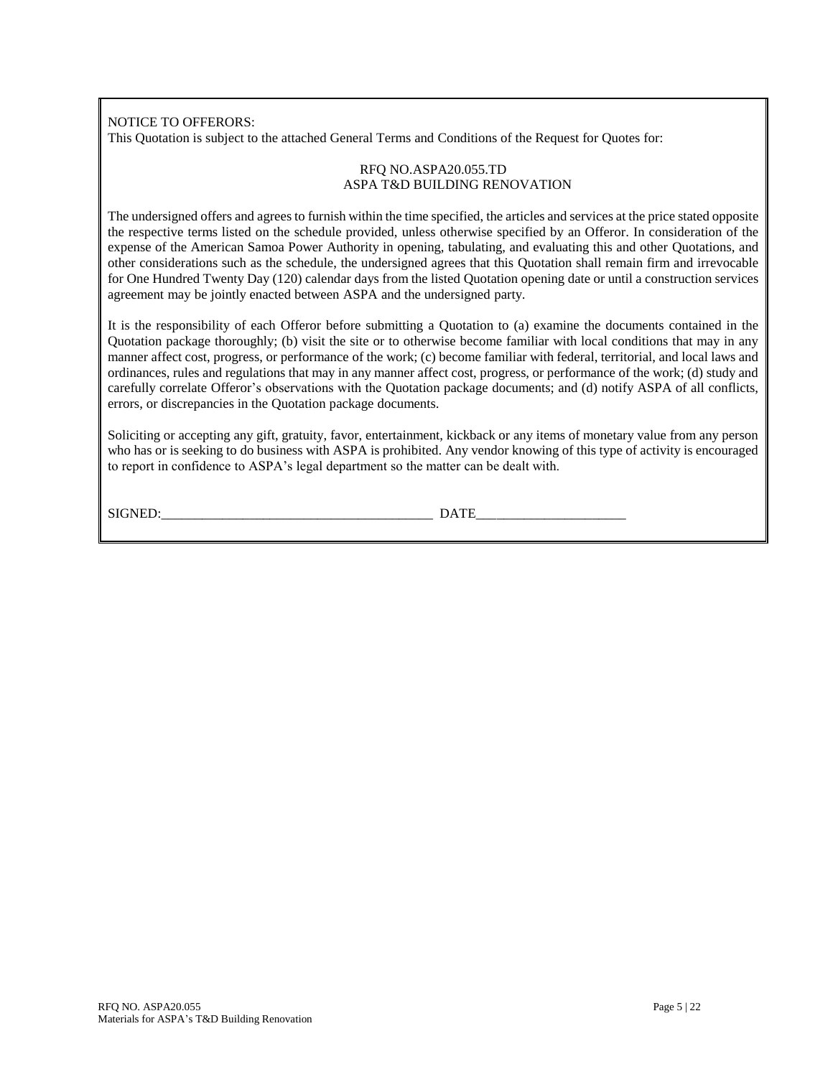NOTICE TO OFFERORS: This Quotation is subject to the attached General Terms and Conditions of the Request for Quotes for:

#### RFQ NO.ASPA20.055.TD ASPA T&D BUILDING RENOVATION

The undersigned offers and agrees to furnish within the time specified, the articles and services at the price stated opposite the respective terms listed on the schedule provided, unless otherwise specified by an Offeror. In consideration of the expense of the American Samoa Power Authority in opening, tabulating, and evaluating this and other Quotations, and other considerations such as the schedule, the undersigned agrees that this Quotation shall remain firm and irrevocable for One Hundred Twenty Day (120) calendar days from the listed Quotation opening date or until a construction services agreement may be jointly enacted between ASPA and the undersigned party.

It is the responsibility of each Offeror before submitting a Quotation to (a) examine the documents contained in the Quotation package thoroughly; (b) visit the site or to otherwise become familiar with local conditions that may in any manner affect cost, progress, or performance of the work; (c) become familiar with federal, territorial, and local laws and ordinances, rules and regulations that may in any manner affect cost, progress, or performance of the work; (d) study and carefully correlate Offeror's observations with the Quotation package documents; and (d) notify ASPA of all conflicts, errors, or discrepancies in the Quotation package documents.

Soliciting or accepting any gift, gratuity, favor, entertainment, kickback or any items of monetary value from any person who has or is seeking to do business with ASPA is prohibited. Any vendor knowing of this type of activity is encouraged to report in confidence to ASPA's legal department so the matter can be dealt with.

SIGNED:\_\_\_\_\_\_\_\_\_\_\_\_\_\_\_\_\_\_\_\_\_\_\_\_\_\_\_\_\_\_\_\_\_\_\_\_\_\_\_\_ DATE\_\_\_\_\_\_\_\_\_\_\_\_\_\_\_\_\_\_\_\_\_\_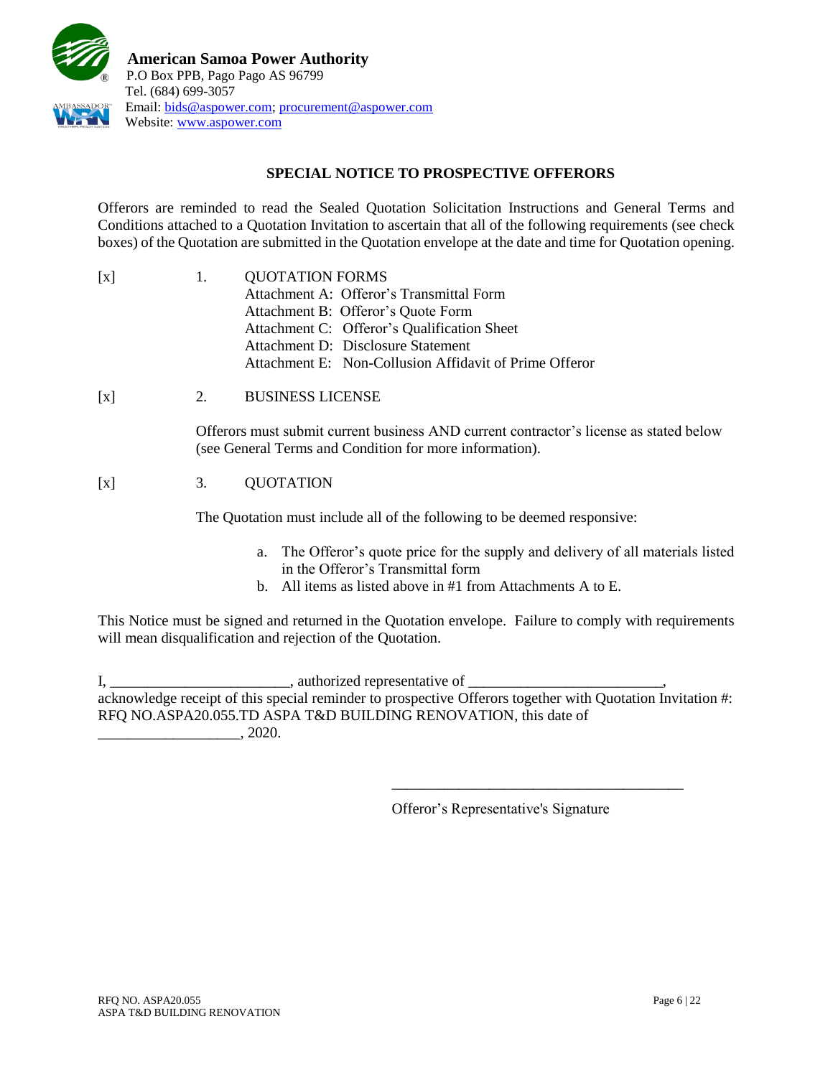

# **SPECIAL NOTICE TO PROSPECTIVE OFFERORS**

Offerors are reminded to read the Sealed Quotation Solicitation Instructions and General Terms and Conditions attached to a Quotation Invitation to ascertain that all of the following requirements (see check boxes) of the Quotation are submitted in the Quotation envelope at the date and time for Quotation opening.

| $\lceil x \rceil$ | $\mathbf{1}$ . | <b>QUOTATION FORMS</b>                                 |  |  |
|-------------------|----------------|--------------------------------------------------------|--|--|
|                   |                | Attachment A: Offeror's Transmittal Form               |  |  |
|                   |                | Attachment B: Offeror's Quote Form                     |  |  |
|                   |                | Attachment C: Offeror's Qualification Sheet            |  |  |
|                   |                | Attachment D: Disclosure Statement                     |  |  |
|                   |                | Attachment E: Non-Collusion Affidavit of Prime Offeror |  |  |

[x] 2. BUSINESS LICENSE

Offerors must submit current business AND current contractor's license as stated below (see General Terms and Condition for more information).

## [x] 3. QUOTATION

The Quotation must include all of the following to be deemed responsive:

- a. The Offeror's quote price for the supply and delivery of all materials listed in the Offeror's Transmittal form
- b. All items as listed above in #1 from Attachments A to E.

This Notice must be signed and returned in the Quotation envelope. Failure to comply with requirements will mean disqualification and rejection of the Quotation.

I, \_\_\_\_\_\_\_\_\_\_\_\_\_\_\_\_\_\_\_\_\_\_\_\_\_\_\_\_, authorized representative of \_\_\_\_\_\_\_\_\_\_\_\_\_\_\_\_\_\_ acknowledge receipt of this special reminder to prospective Offerors together with Quotation Invitation #: RFQ NO.ASPA20.055.TD ASPA T&D BUILDING RENOVATION, this date of \_\_\_\_\_\_\_\_\_\_\_\_\_\_\_\_\_\_\_, 2020.

Offeror's Representative's Signature

\_\_\_\_\_\_\_\_\_\_\_\_\_\_\_\_\_\_\_\_\_\_\_\_\_\_\_\_\_\_\_\_\_\_\_\_\_\_\_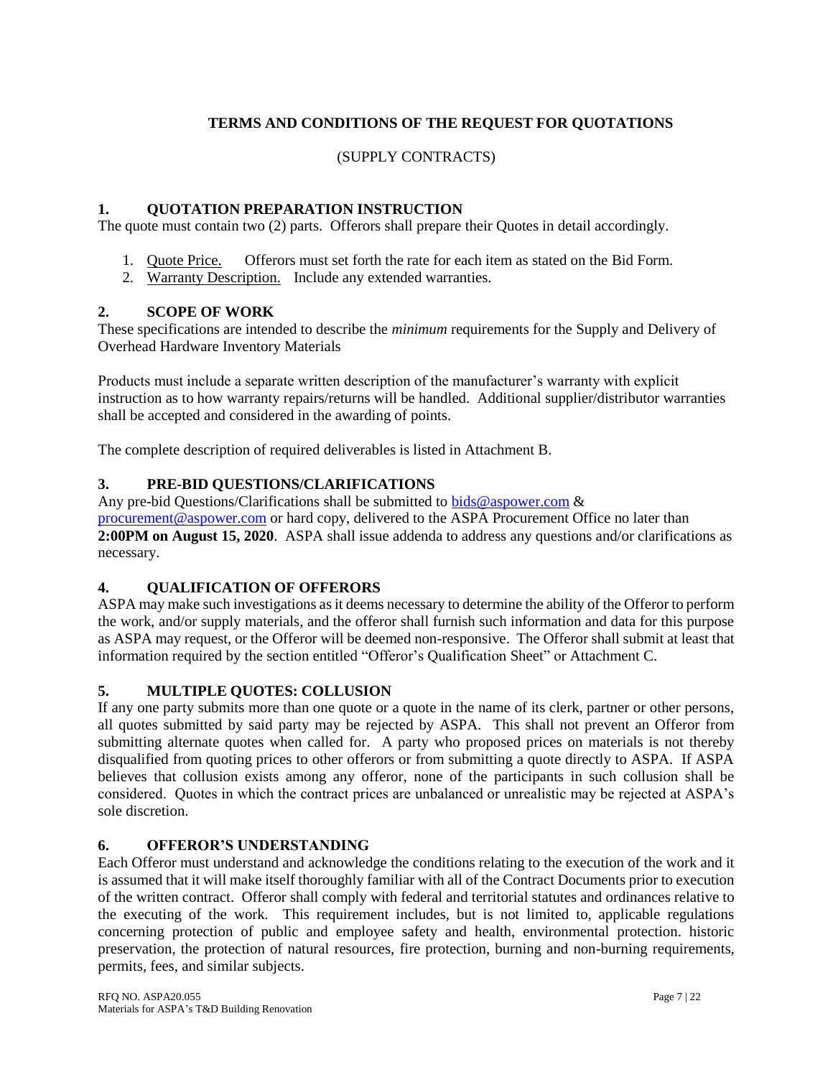# **TERMS AND CONDITIONS OF THE REQUEST FOR QUOTATIONS**

## (SUPPLY CONTRACTS)

### **1. QUOTATION PREPARATION INSTRUCTION**

The quote must contain two (2) parts. Offerors shall prepare their Quotes in detail accordingly.

- 1. Quote Price. Offerors must set forth the rate for each item as stated on the Bid Form.
- 2. Warranty Description. Include any extended warranties.

### **2. SCOPE OF WORK**

These specifications are intended to describe the *minimum* requirements for the Supply and Delivery of Overhead Hardware Inventory Materials

Products must include a separate written description of the manufacturer's warranty with explicit instruction as to how warranty repairs/returns will be handled. Additional supplier/distributor warranties shall be accepted and considered in the awarding of points.

The complete description of required deliverables is listed in Attachment B.

### **3. PRE-BID QUESTIONS/CLARIFICATIONS**

Any pre-bid Questions/Clarifications shall be submitted to [bids@aspower.com](mailto:bids@aspower.com)  $\&$ [procurement@aspower.com](mailto:procurement@aspower.com) or hard copy, delivered to the ASPA Procurement Office no later than **2:00PM on August 15, 2020**. ASPA shall issue addenda to address any questions and/or clarifications as necessary.

### **4. QUALIFICATION OF OFFERORS**

ASPA may make such investigations as it deems necessary to determine the ability of the Offeror to perform the work, and/or supply materials, and the offeror shall furnish such information and data for this purpose as ASPA may request, or the Offeror will be deemed non-responsive. The Offeror shall submit at least that information required by the section entitled "Offeror's Qualification Sheet" or Attachment C.

### **5. MULTIPLE QUOTES: COLLUSION**

If any one party submits more than one quote or a quote in the name of its clerk, partner or other persons, all quotes submitted by said party may be rejected by ASPA. This shall not prevent an Offeror from submitting alternate quotes when called for. A party who proposed prices on materials is not thereby disqualified from quoting prices to other offerors or from submitting a quote directly to ASPA. If ASPA believes that collusion exists among any offeror, none of the participants in such collusion shall be considered. Quotes in which the contract prices are unbalanced or unrealistic may be rejected at ASPA's sole discretion.

## **6. OFFEROR'S UNDERSTANDING**

Each Offeror must understand and acknowledge the conditions relating to the execution of the work and it is assumed that it will make itself thoroughly familiar with all of the Contract Documents prior to execution of the written contract. Offeror shall comply with federal and territorial statutes and ordinances relative to the executing of the work. This requirement includes, but is not limited to, applicable regulations concerning protection of public and employee safety and health, environmental protection. historic preservation, the protection of natural resources, fire protection, burning and non-burning requirements, permits, fees, and similar subjects.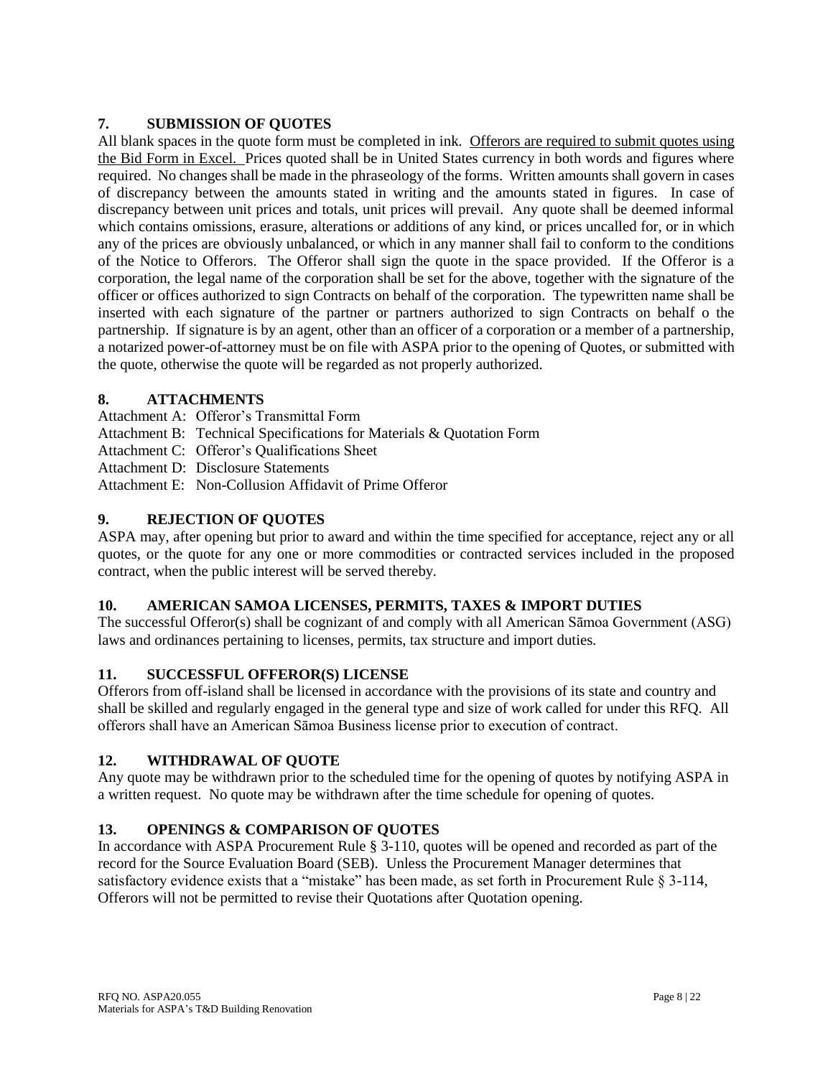## **7. SUBMISSION OF QUOTES**

All blank spaces in the quote form must be completed in ink. Offerors are required to submit quotes using the Bid Form in Excel. Prices quoted shall be in United States currency in both words and figures where required. No changes shall be made in the phraseology of the forms. Written amounts shall govern in cases of discrepancy between the amounts stated in writing and the amounts stated in figures. In case of discrepancy between unit prices and totals, unit prices will prevail. Any quote shall be deemed informal which contains omissions, erasure, alterations or additions of any kind, or prices uncalled for, or in which any of the prices are obviously unbalanced, or which in any manner shall fail to conform to the conditions of the Notice to Offerors. The Offeror shall sign the quote in the space provided. If the Offeror is a corporation, the legal name of the corporation shall be set for the above, together with the signature of the officer or offices authorized to sign Contracts on behalf of the corporation. The typewritten name shall be inserted with each signature of the partner or partners authorized to sign Contracts on behalf o the partnership. If signature is by an agent, other than an officer of a corporation or a member of a partnership, a notarized power-of-attorney must be on file with ASPA prior to the opening of Quotes, or submitted with the quote, otherwise the quote will be regarded as not properly authorized.

### **8. ATTACHMENTS**

- Attachment A: Offeror's Transmittal Form
- Attachment B: Technical Specifications for Materials & Quotation Form
- Attachment C: Offeror's Qualifications Sheet
- Attachment D: Disclosure Statements
- Attachment E: Non-Collusion Affidavit of Prime Offeror

### **9. REJECTION OF QUOTES**

ASPA may, after opening but prior to award and within the time specified for acceptance, reject any or all quotes, or the quote for any one or more commodities or contracted services included in the proposed contract, when the public interest will be served thereby.

# **10. AMERICAN SAMOA LICENSES, PERMITS, TAXES & IMPORT DUTIES**

The successful Offeror(s) shall be cognizant of and comply with all American Sāmoa Government (ASG) laws and ordinances pertaining to licenses, permits, tax structure and import duties.

## **11. SUCCESSFUL OFFEROR(S) LICENSE**

Offerors from off-island shall be licensed in accordance with the provisions of its state and country and shall be skilled and regularly engaged in the general type and size of work called for under this RFQ. All offerors shall have an American Sāmoa Business license prior to execution of contract.

## **12. WITHDRAWAL OF QUOTE**

Any quote may be withdrawn prior to the scheduled time for the opening of quotes by notifying ASPA in a written request. No quote may be withdrawn after the time schedule for opening of quotes.

## **13. OPENINGS & COMPARISON OF QUOTES**

In accordance with ASPA Procurement Rule § 3-110, quotes will be opened and recorded as part of the record for the Source Evaluation Board (SEB). Unless the Procurement Manager determines that satisfactory evidence exists that a "mistake" has been made, as set forth in Procurement Rule § 3-114, Offerors will not be permitted to revise their Quotations after Quotation opening.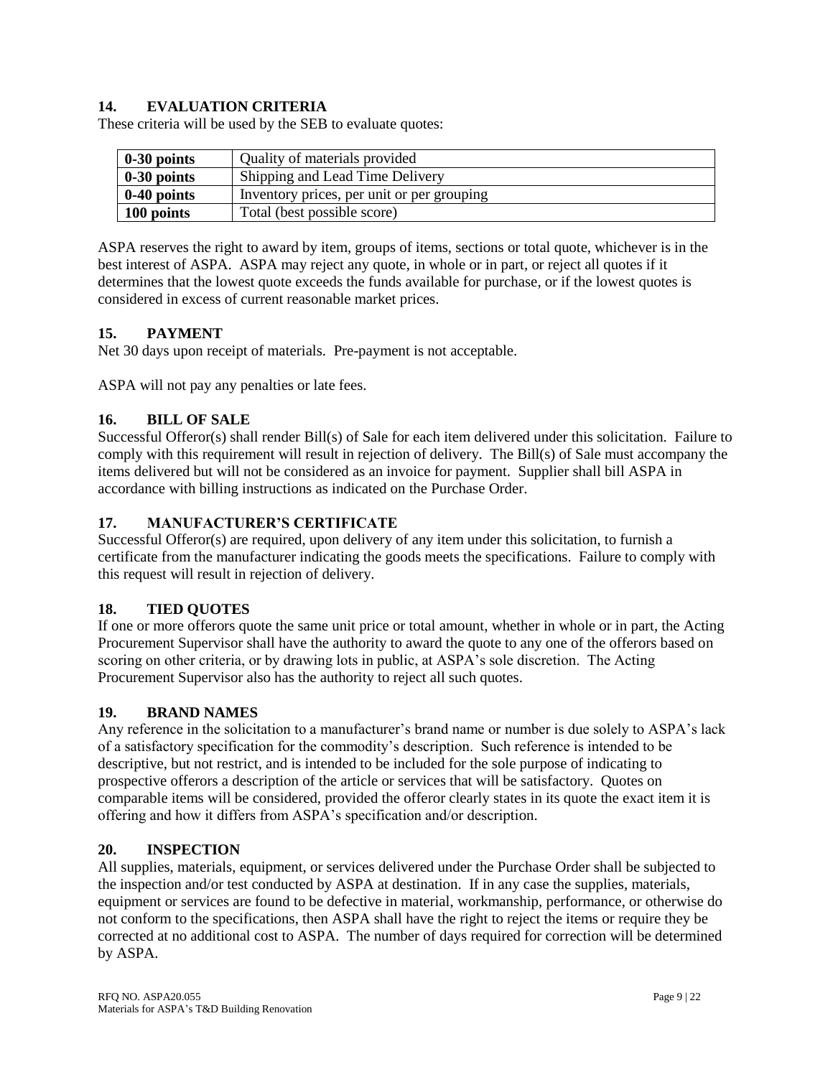## **14. EVALUATION CRITERIA**

These criteria will be used by the SEB to evaluate quotes:

| $\vert$ 0-30 points | Quality of materials provided              |
|---------------------|--------------------------------------------|
| $\vert$ 0-30 points | Shipping and Lead Time Delivery            |
| $0-40$ points       | Inventory prices, per unit or per grouping |
| 100 points          | Total (best possible score)                |

ASPA reserves the right to award by item, groups of items, sections or total quote, whichever is in the best interest of ASPA. ASPA may reject any quote, in whole or in part, or reject all quotes if it determines that the lowest quote exceeds the funds available for purchase, or if the lowest quotes is considered in excess of current reasonable market prices.

### **15. PAYMENT**

Net 30 days upon receipt of materials. Pre-payment is not acceptable.

ASPA will not pay any penalties or late fees.

### **16. BILL OF SALE**

Successful Offeror(s) shall render Bill(s) of Sale for each item delivered under this solicitation. Failure to comply with this requirement will result in rejection of delivery. The Bill(s) of Sale must accompany the items delivered but will not be considered as an invoice for payment. Supplier shall bill ASPA in accordance with billing instructions as indicated on the Purchase Order.

## **17. MANUFACTURER'S CERTIFICATE**

Successful Offeror(s) are required, upon delivery of any item under this solicitation, to furnish a certificate from the manufacturer indicating the goods meets the specifications. Failure to comply with this request will result in rejection of delivery.

### **18. TIED QUOTES**

If one or more offerors quote the same unit price or total amount, whether in whole or in part, the Acting Procurement Supervisor shall have the authority to award the quote to any one of the offerors based on scoring on other criteria, or by drawing lots in public, at ASPA's sole discretion. The Acting Procurement Supervisor also has the authority to reject all such quotes.

### **19. BRAND NAMES**

Any reference in the solicitation to a manufacturer's brand name or number is due solely to ASPA's lack of a satisfactory specification for the commodity's description. Such reference is intended to be descriptive, but not restrict, and is intended to be included for the sole purpose of indicating to prospective offerors a description of the article or services that will be satisfactory. Quotes on comparable items will be considered, provided the offeror clearly states in its quote the exact item it is offering and how it differs from ASPA's specification and/or description.

### **20. INSPECTION**

All supplies, materials, equipment, or services delivered under the Purchase Order shall be subjected to the inspection and/or test conducted by ASPA at destination. If in any case the supplies, materials, equipment or services are found to be defective in material, workmanship, performance, or otherwise do not conform to the specifications, then ASPA shall have the right to reject the items or require they be corrected at no additional cost to ASPA. The number of days required for correction will be determined by ASPA.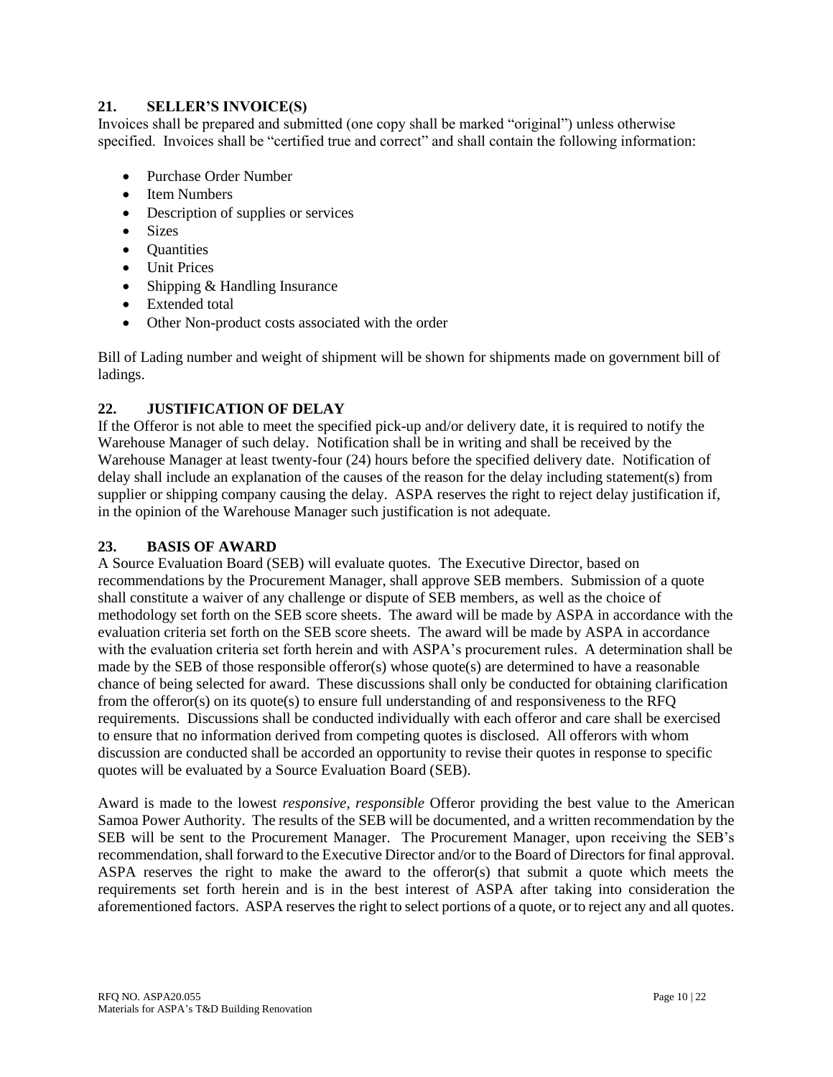### **21. SELLER'S INVOICE(S)**

Invoices shall be prepared and submitted (one copy shall be marked "original") unless otherwise specified. Invoices shall be "certified true and correct" and shall contain the following information:

- Purchase Order Number
- Item Numbers
- Description of supplies or services
- Sizes
- **Quantities**
- Unit Prices
- Shipping & Handling Insurance
- Extended total
- Other Non-product costs associated with the order

Bill of Lading number and weight of shipment will be shown for shipments made on government bill of ladings.

### **22. JUSTIFICATION OF DELAY**

If the Offeror is not able to meet the specified pick-up and/or delivery date, it is required to notify the Warehouse Manager of such delay. Notification shall be in writing and shall be received by the Warehouse Manager at least twenty-four (24) hours before the specified delivery date. Notification of delay shall include an explanation of the causes of the reason for the delay including statement(s) from supplier or shipping company causing the delay. ASPA reserves the right to reject delay justification if, in the opinion of the Warehouse Manager such justification is not adequate.

### **23. BASIS OF AWARD**

A Source Evaluation Board (SEB) will evaluate quotes. The Executive Director, based on recommendations by the Procurement Manager, shall approve SEB members. Submission of a quote shall constitute a waiver of any challenge or dispute of SEB members, as well as the choice of methodology set forth on the SEB score sheets. The award will be made by ASPA in accordance with the evaluation criteria set forth on the SEB score sheets. The award will be made by ASPA in accordance with the evaluation criteria set forth herein and with ASPA's procurement rules. A determination shall be made by the SEB of those responsible offeror(s) whose quote(s) are determined to have a reasonable chance of being selected for award. These discussions shall only be conducted for obtaining clarification from the offeror(s) on its quote(s) to ensure full understanding of and responsiveness to the RFQ requirements. Discussions shall be conducted individually with each offeror and care shall be exercised to ensure that no information derived from competing quotes is disclosed. All offerors with whom discussion are conducted shall be accorded an opportunity to revise their quotes in response to specific quotes will be evaluated by a Source Evaluation Board (SEB).

Award is made to the lowest *responsive, responsible* Offeror providing the best value to the American Samoa Power Authority. The results of the SEB will be documented, and a written recommendation by the SEB will be sent to the Procurement Manager. The Procurement Manager, upon receiving the SEB's recommendation, shall forward to the Executive Director and/or to the Board of Directors for final approval. ASPA reserves the right to make the award to the offeror(s) that submit a quote which meets the requirements set forth herein and is in the best interest of ASPA after taking into consideration the aforementioned factors. ASPA reserves the right to select portions of a quote, or to reject any and all quotes.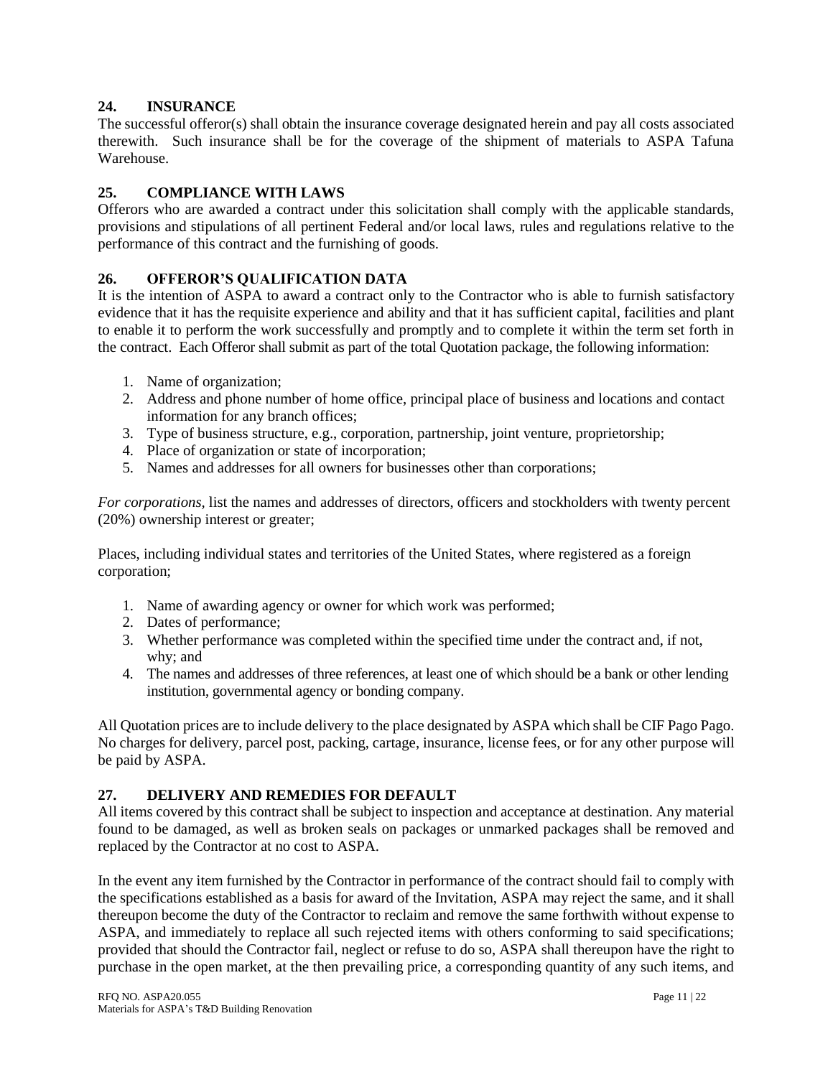### **24. INSURANCE**

The successful offeror(s) shall obtain the insurance coverage designated herein and pay all costs associated therewith. Such insurance shall be for the coverage of the shipment of materials to ASPA Tafuna Warehouse.

### **25. COMPLIANCE WITH LAWS**

Offerors who are awarded a contract under this solicitation shall comply with the applicable standards, provisions and stipulations of all pertinent Federal and/or local laws, rules and regulations relative to the performance of this contract and the furnishing of goods.

### **26. OFFEROR'S QUALIFICATION DATA**

It is the intention of ASPA to award a contract only to the Contractor who is able to furnish satisfactory evidence that it has the requisite experience and ability and that it has sufficient capital, facilities and plant to enable it to perform the work successfully and promptly and to complete it within the term set forth in the contract. Each Offeror shall submit as part of the total Quotation package, the following information:

- 1. Name of organization;
- 2. Address and phone number of home office, principal place of business and locations and contact information for any branch offices;
- 3. Type of business structure, e.g., corporation, partnership, joint venture, proprietorship;
- 4. Place of organization or state of incorporation;
- 5. Names and addresses for all owners for businesses other than corporations;

*For corporations,* list the names and addresses of directors, officers and stockholders with twenty percent (20%) ownership interest or greater;

Places, including individual states and territories of the United States, where registered as a foreign corporation;

- 1. Name of awarding agency or owner for which work was performed;
- 2. Dates of performance;
- 3. Whether performance was completed within the specified time under the contract and, if not, why; and
- 4. The names and addresses of three references, at least one of which should be a bank or other lending institution, governmental agency or bonding company.

All Quotation prices are to include delivery to the place designated by ASPA which shall be CIF Pago Pago. No charges for delivery, parcel post, packing, cartage, insurance, license fees, or for any other purpose will be paid by ASPA.

### **27. DELIVERY AND REMEDIES FOR DEFAULT**

All items covered by this contract shall be subject to inspection and acceptance at destination. Any material found to be damaged, as well as broken seals on packages or unmarked packages shall be removed and replaced by the Contractor at no cost to ASPA.

In the event any item furnished by the Contractor in performance of the contract should fail to comply with the specifications established as a basis for award of the Invitation, ASPA may reject the same, and it shall thereupon become the duty of the Contractor to reclaim and remove the same forthwith without expense to ASPA, and immediately to replace all such rejected items with others conforming to said specifications; provided that should the Contractor fail, neglect or refuse to do so, ASPA shall thereupon have the right to purchase in the open market, at the then prevailing price, a corresponding quantity of any such items, and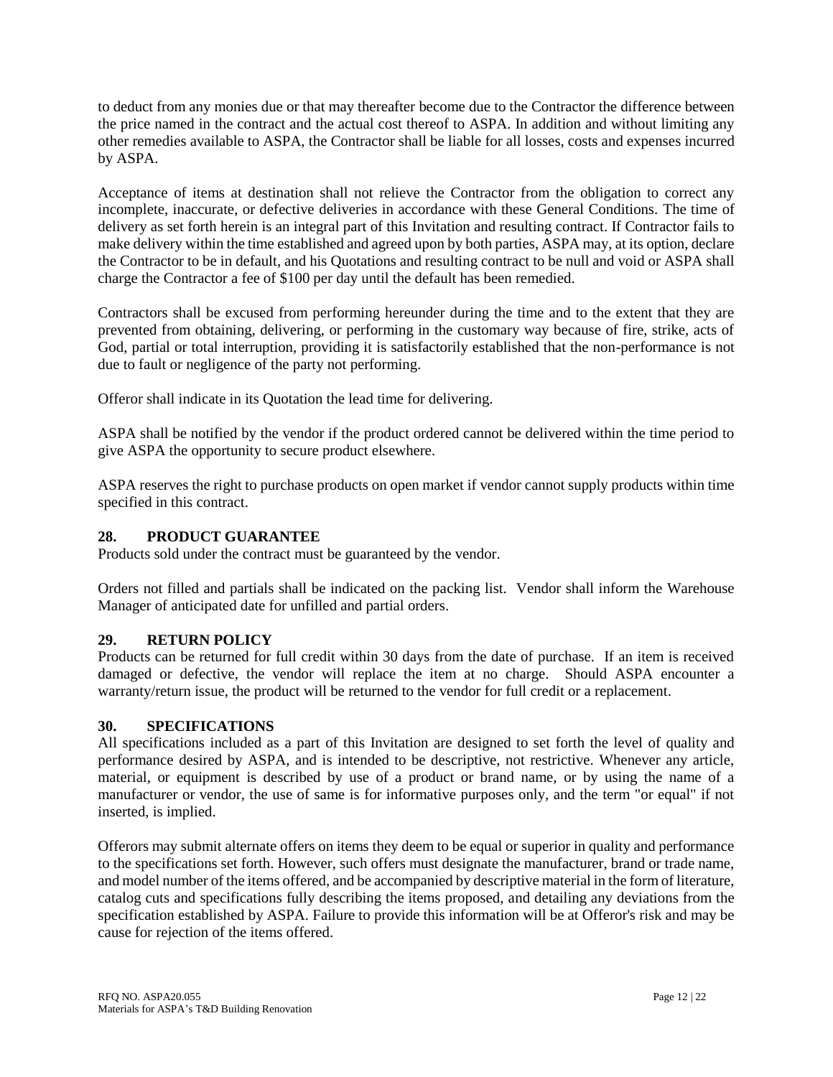to deduct from any monies due or that may thereafter become due to the Contractor the difference between the price named in the contract and the actual cost thereof to ASPA. In addition and without limiting any other remedies available to ASPA, the Contractor shall be liable for all losses, costs and expenses incurred by ASPA.

Acceptance of items at destination shall not relieve the Contractor from the obligation to correct any incomplete, inaccurate, or defective deliveries in accordance with these General Conditions. The time of delivery as set forth herein is an integral part of this Invitation and resulting contract. If Contractor fails to make delivery within the time established and agreed upon by both parties, ASPA may, at its option, declare the Contractor to be in default, and his Quotations and resulting contract to be null and void or ASPA shall charge the Contractor a fee of \$100 per day until the default has been remedied.

Contractors shall be excused from performing hereunder during the time and to the extent that they are prevented from obtaining, delivering, or performing in the customary way because of fire, strike, acts of God, partial or total interruption, providing it is satisfactorily established that the non-performance is not due to fault or negligence of the party not performing.

Offeror shall indicate in its Quotation the lead time for delivering.

ASPA shall be notified by the vendor if the product ordered cannot be delivered within the time period to give ASPA the opportunity to secure product elsewhere.

ASPA reserves the right to purchase products on open market if vendor cannot supply products within time specified in this contract.

### **28. PRODUCT GUARANTEE**

Products sold under the contract must be guaranteed by the vendor.

Orders not filled and partials shall be indicated on the packing list. Vendor shall inform the Warehouse Manager of anticipated date for unfilled and partial orders.

## **29. RETURN POLICY**

Products can be returned for full credit within 30 days from the date of purchase. If an item is received damaged or defective, the vendor will replace the item at no charge. Should ASPA encounter a warranty/return issue, the product will be returned to the vendor for full credit or a replacement.

### **30. SPECIFICATIONS**

All specifications included as a part of this Invitation are designed to set forth the level of quality and performance desired by ASPA, and is intended to be descriptive, not restrictive. Whenever any article, material, or equipment is described by use of a product or brand name, or by using the name of a manufacturer or vendor, the use of same is for informative purposes only, and the term "or equal" if not inserted, is implied.

Offerors may submit alternate offers on items they deem to be equal or superior in quality and performance to the specifications set forth. However, such offers must designate the manufacturer, brand or trade name, and model number of the items offered, and be accompanied by descriptive material in the form of literature, catalog cuts and specifications fully describing the items proposed, and detailing any deviations from the specification established by ASPA. Failure to provide this information will be at Offeror's risk and may be cause for rejection of the items offered.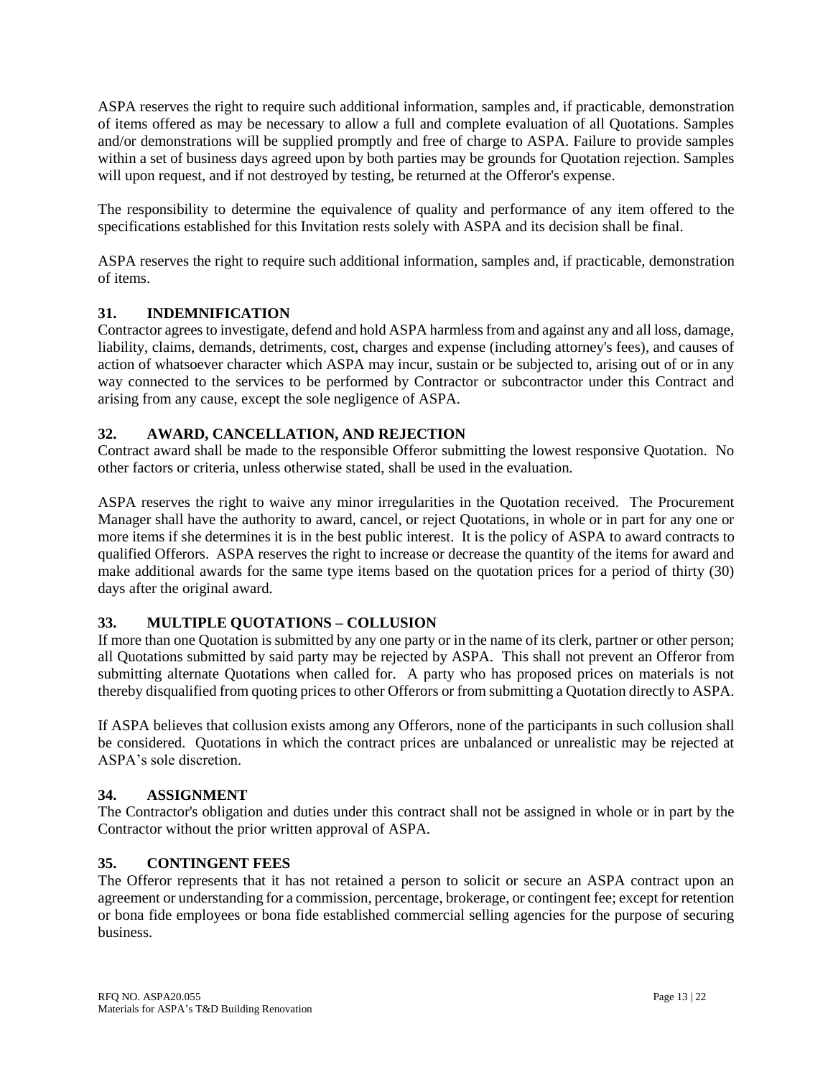ASPA reserves the right to require such additional information, samples and, if practicable, demonstration of items offered as may be necessary to allow a full and complete evaluation of all Quotations. Samples and/or demonstrations will be supplied promptly and free of charge to ASPA. Failure to provide samples within a set of business days agreed upon by both parties may be grounds for Quotation rejection. Samples will upon request, and if not destroyed by testing, be returned at the Offeror's expense.

The responsibility to determine the equivalence of quality and performance of any item offered to the specifications established for this Invitation rests solely with ASPA and its decision shall be final.

ASPA reserves the right to require such additional information, samples and, if practicable, demonstration of items.

# **31. INDEMNIFICATION**

Contractor agrees to investigate, defend and hold ASPA harmless from and against any and all loss, damage, liability, claims, demands, detriments, cost, charges and expense (including attorney's fees), and causes of action of whatsoever character which ASPA may incur, sustain or be subjected to, arising out of or in any way connected to the services to be performed by Contractor or subcontractor under this Contract and arising from any cause, except the sole negligence of ASPA.

## **32. AWARD, CANCELLATION, AND REJECTION**

Contract award shall be made to the responsible Offeror submitting the lowest responsive Quotation. No other factors or criteria, unless otherwise stated, shall be used in the evaluation.

ASPA reserves the right to waive any minor irregularities in the Quotation received. The Procurement Manager shall have the authority to award, cancel, or reject Quotations, in whole or in part for any one or more items if she determines it is in the best public interest. It is the policy of ASPA to award contracts to qualified Offerors. ASPA reserves the right to increase or decrease the quantity of the items for award and make additional awards for the same type items based on the quotation prices for a period of thirty (30) days after the original award.

## **33. MULTIPLE QUOTATIONS – COLLUSION**

If more than one Quotation is submitted by any one party or in the name of its clerk, partner or other person; all Quotations submitted by said party may be rejected by ASPA. This shall not prevent an Offeror from submitting alternate Quotations when called for. A party who has proposed prices on materials is not thereby disqualified from quoting prices to other Offerors or from submitting a Quotation directly to ASPA.

If ASPA believes that collusion exists among any Offerors, none of the participants in such collusion shall be considered. Quotations in which the contract prices are unbalanced or unrealistic may be rejected at ASPA's sole discretion.

## **34. ASSIGNMENT**

The Contractor's obligation and duties under this contract shall not be assigned in whole or in part by the Contractor without the prior written approval of ASPA.

## **35. CONTINGENT FEES**

The Offeror represents that it has not retained a person to solicit or secure an ASPA contract upon an agreement or understanding for a commission, percentage, brokerage, or contingent fee; except for retention or bona fide employees or bona fide established commercial selling agencies for the purpose of securing business.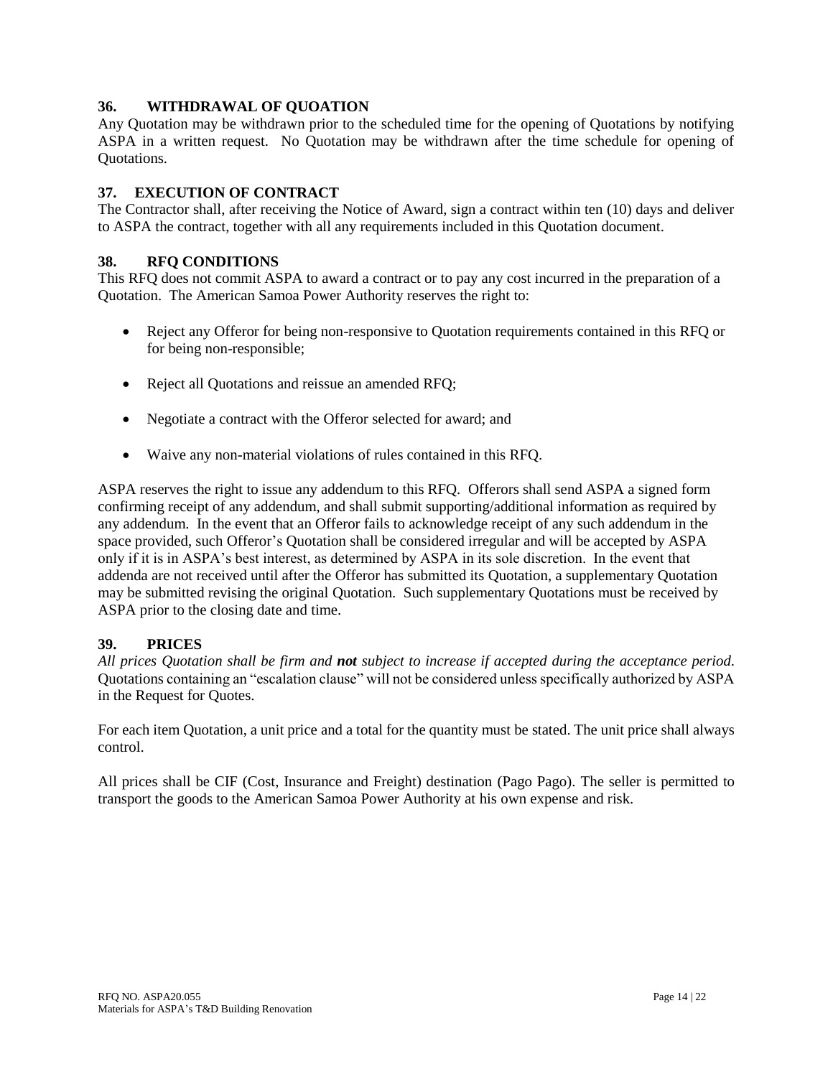### **36. WITHDRAWAL OF QUOATION**

Any Quotation may be withdrawn prior to the scheduled time for the opening of Quotations by notifying ASPA in a written request. No Quotation may be withdrawn after the time schedule for opening of Quotations.

### **37. EXECUTION OF CONTRACT**

The Contractor shall, after receiving the Notice of Award, sign a contract within ten (10) days and deliver to ASPA the contract, together with all any requirements included in this Quotation document.

### **38. RFQ CONDITIONS**

This RFQ does not commit ASPA to award a contract or to pay any cost incurred in the preparation of a Quotation. The American Samoa Power Authority reserves the right to:

- Reject any Offeror for being non-responsive to Quotation requirements contained in this RFQ or for being non-responsible;
- Reject all Quotations and reissue an amended RFQ;
- Negotiate a contract with the Offeror selected for award; and
- Waive any non-material violations of rules contained in this RFQ.

ASPA reserves the right to issue any addendum to this RFQ. Offerors shall send ASPA a signed form confirming receipt of any addendum, and shall submit supporting/additional information as required by any addendum. In the event that an Offeror fails to acknowledge receipt of any such addendum in the space provided, such Offeror's Quotation shall be considered irregular and will be accepted by ASPA only if it is in ASPA's best interest, as determined by ASPA in its sole discretion. In the event that addenda are not received until after the Offeror has submitted its Quotation, a supplementary Quotation may be submitted revising the original Quotation. Such supplementary Quotations must be received by ASPA prior to the closing date and time.

### **39. PRICES**

*All prices Quotation shall be firm and not subject to increase if accepted during the acceptance period*. Quotations containing an "escalation clause" will not be considered unless specifically authorized by ASPA in the Request for Quotes.

For each item Quotation, a unit price and a total for the quantity must be stated. The unit price shall always control.

All prices shall be CIF (Cost, Insurance and Freight) destination (Pago Pago). The seller is permitted to transport the goods to the American Samoa Power Authority at his own expense and risk.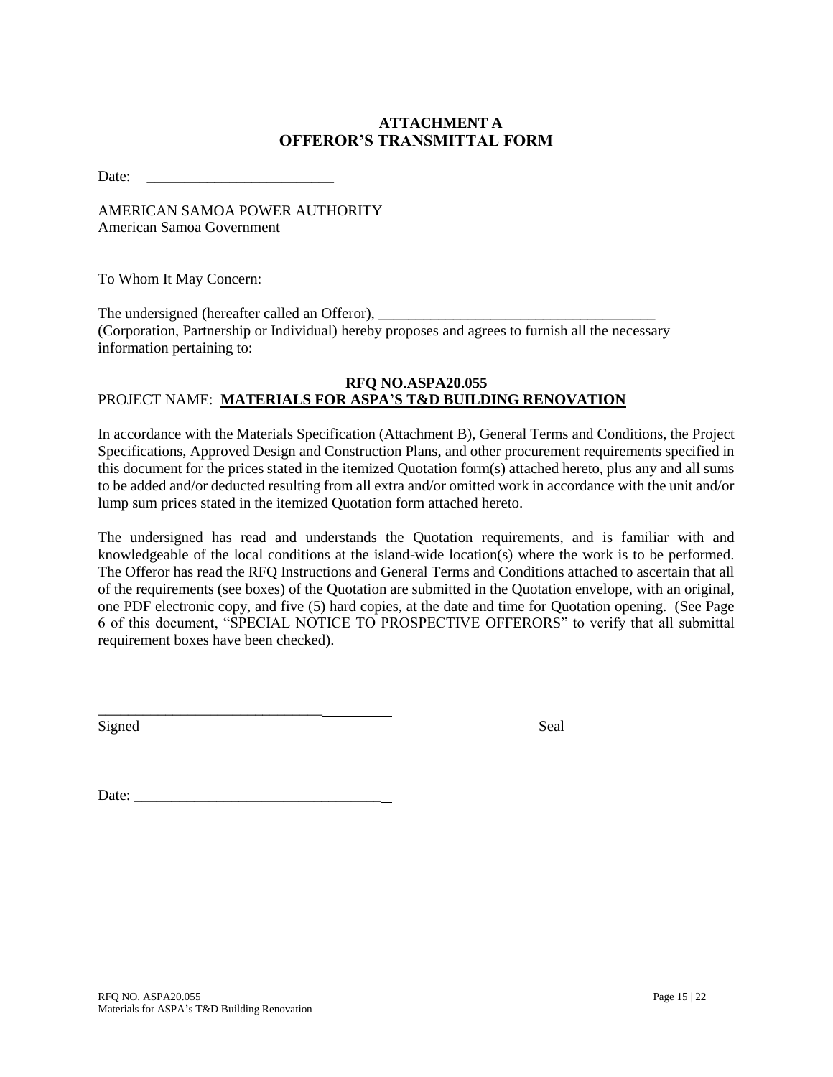# **ATTACHMENT A OFFEROR'S TRANSMITTAL FORM**

Date: \_\_\_\_\_\_\_\_\_\_\_\_\_\_\_\_\_\_\_\_\_\_\_\_\_

AMERICAN SAMOA POWER AUTHORITY American Samoa Government

To Whom It May Concern:

The undersigned (hereafter called an Offeror), (Corporation, Partnership or Individual) hereby proposes and agrees to furnish all the necessary information pertaining to:

#### **RFQ NO.ASPA20.055** PROJECT NAME: **MATERIALS FOR ASPA'S T&D BUILDING RENOVATION**

In accordance with the Materials Specification (Attachment B), General Terms and Conditions, the Project Specifications, Approved Design and Construction Plans, and other procurement requirements specified in this document for the prices stated in the itemized Quotation form(s) attached hereto, plus any and all sums to be added and/or deducted resulting from all extra and/or omitted work in accordance with the unit and/or lump sum prices stated in the itemized Quotation form attached hereto.

The undersigned has read and understands the Quotation requirements, and is familiar with and knowledgeable of the local conditions at the island-wide location(s) where the work is to be performed. The Offeror has read the RFQ Instructions and General Terms and Conditions attached to ascertain that all of the requirements (see boxes) of the Quotation are submitted in the Quotation envelope, with an original, one PDF electronic copy, and five (5) hard copies, at the date and time for Quotation opening. (See Page 6 of this document, "SPECIAL NOTICE TO PROSPECTIVE OFFERORS" to verify that all submittal requirement boxes have been checked).

Signed Seal

Date: \_\_\_\_\_\_\_\_\_\_\_\_\_\_\_\_\_\_\_\_\_\_\_\_\_\_\_\_\_\_\_\_\_

\_\_\_\_\_\_\_\_\_\_\_\_\_\_\_\_\_\_\_\_\_\_\_\_\_\_\_\_\_\_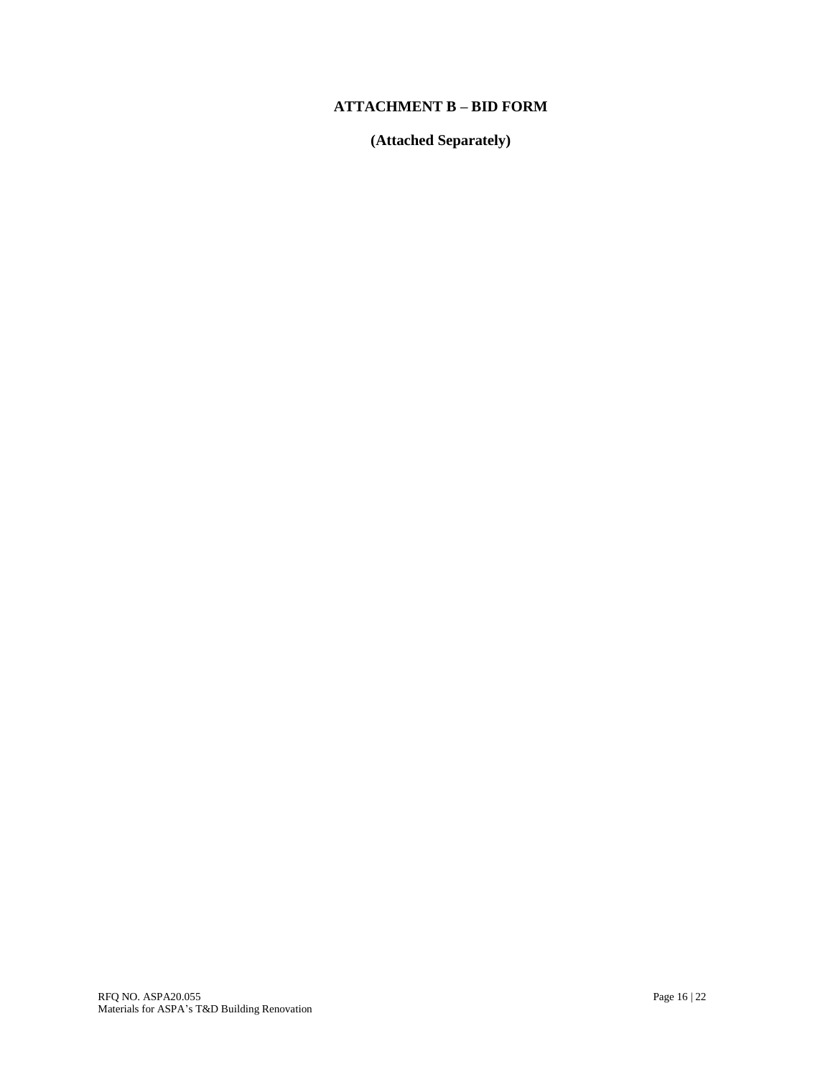# **ATTACHMENT B – BID FORM**

**(Attached Separately)**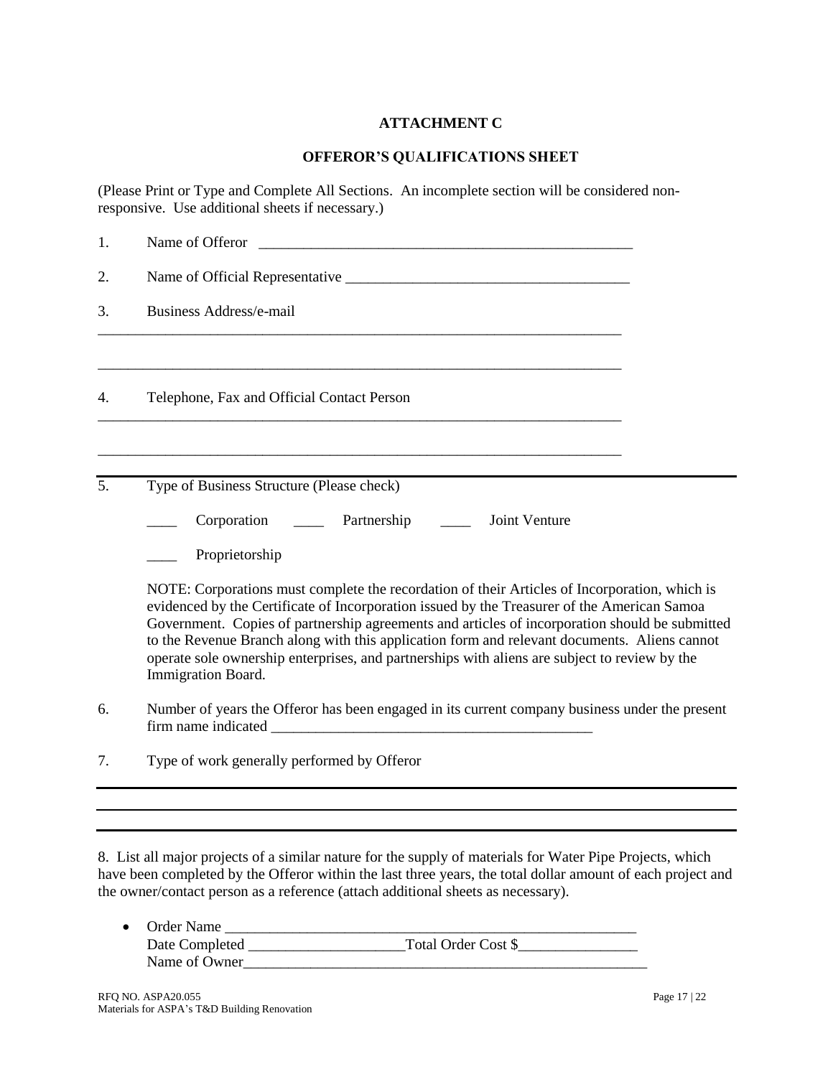# **ATTACHMENT C**

### **OFFEROR'S QUALIFICATIONS SHEET**

(Please Print or Type and Complete All Sections. An incomplete section will be considered nonresponsive. Use additional sheets if necessary.)

| 1. | Name of Offeror<br><u> 1980 - Johann Barn, mars an t-Amerikaansk politiker (</u>                                                                                                                                                                                                                                                                                                                                                                                                                                      |  |  |  |
|----|-----------------------------------------------------------------------------------------------------------------------------------------------------------------------------------------------------------------------------------------------------------------------------------------------------------------------------------------------------------------------------------------------------------------------------------------------------------------------------------------------------------------------|--|--|--|
| 2. |                                                                                                                                                                                                                                                                                                                                                                                                                                                                                                                       |  |  |  |
| 3. | <b>Business Address/e-mail</b>                                                                                                                                                                                                                                                                                                                                                                                                                                                                                        |  |  |  |
| 4. | Telephone, Fax and Official Contact Person                                                                                                                                                                                                                                                                                                                                                                                                                                                                            |  |  |  |
| 5. | Type of Business Structure (Please check)                                                                                                                                                                                                                                                                                                                                                                                                                                                                             |  |  |  |
|    | Partnership<br>Joint Venture<br>Corporation _______                                                                                                                                                                                                                                                                                                                                                                                                                                                                   |  |  |  |
|    | Proprietorship                                                                                                                                                                                                                                                                                                                                                                                                                                                                                                        |  |  |  |
|    | NOTE: Corporations must complete the recordation of their Articles of Incorporation, which is<br>evidenced by the Certificate of Incorporation issued by the Treasurer of the American Samoa<br>Government. Copies of partnership agreements and articles of incorporation should be submitted<br>to the Revenue Branch along with this application form and relevant documents. Aliens cannot<br>operate sole ownership enterprises, and partnerships with aliens are subject to review by the<br>Immigration Board. |  |  |  |
| 6. | Number of years the Offeror has been engaged in its current company business under the present                                                                                                                                                                                                                                                                                                                                                                                                                        |  |  |  |
| 7. | Type of work generally performed by Offeror                                                                                                                                                                                                                                                                                                                                                                                                                                                                           |  |  |  |
|    |                                                                                                                                                                                                                                                                                                                                                                                                                                                                                                                       |  |  |  |
|    |                                                                                                                                                                                                                                                                                                                                                                                                                                                                                                                       |  |  |  |

8. List all major projects of a similar nature for the supply of materials for Water Pipe Projects, which have been completed by the Offeror within the last three years, the total dollar amount of each project and the owner/contact person as a reference (attach additional sheets as necessary).

| • Order Name   |                     |
|----------------|---------------------|
| Date Completed | Total Order Cost \$ |
| Name of Owner  |                     |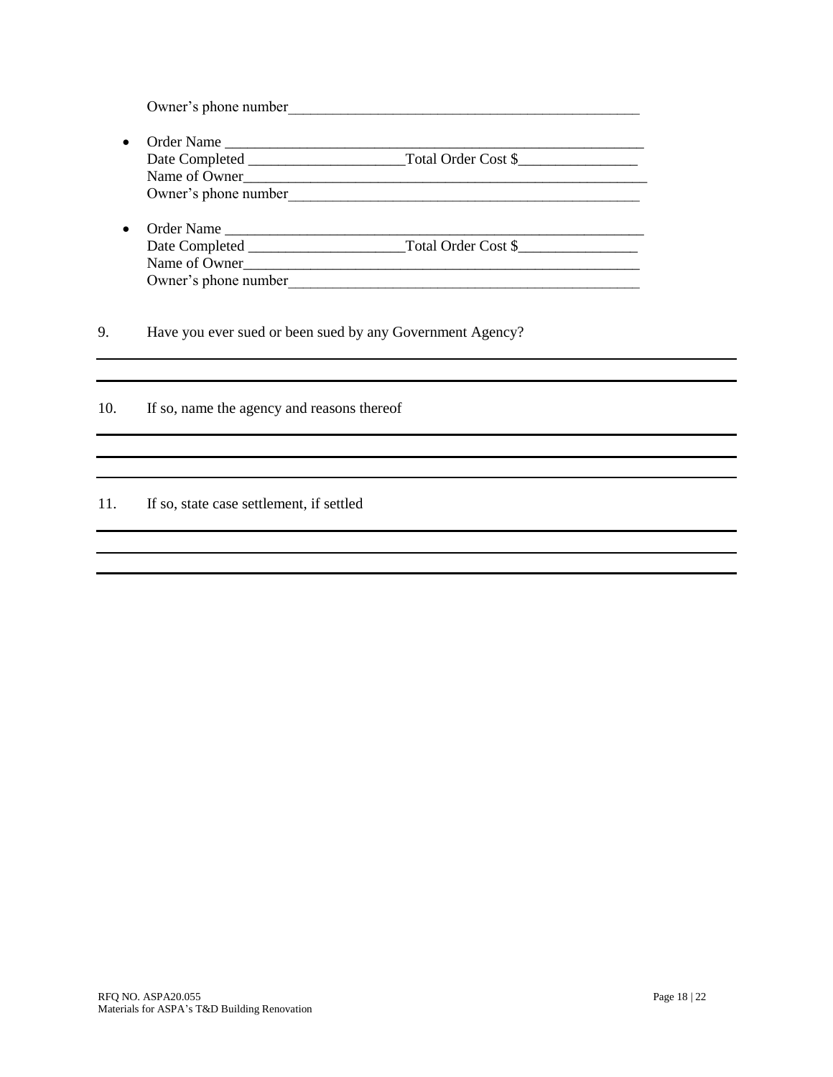Owner's phone number

- Order Name \_\_\_\_\_\_\_\_\_\_\_\_\_\_\_\_\_\_\_\_\_\_\_\_\_\_\_\_\_\_\_\_\_\_\_\_\_\_\_\_\_\_\_\_\_\_\_\_\_\_\_\_\_\_\_\_ Date Completed \_\_\_\_\_\_\_\_\_\_\_\_\_\_\_\_\_\_\_\_\_Total Order Cost \$\_\_\_\_\_\_\_\_\_\_\_\_\_\_\_\_ Name of Owner\_\_\_\_\_\_\_\_\_\_\_\_\_\_\_\_\_\_\_\_\_\_\_\_\_\_\_\_\_\_\_\_\_\_\_\_\_\_\_\_\_\_\_\_\_\_\_\_\_\_\_\_\_\_ Owner's phone number\_\_\_\_\_\_\_\_\_\_\_\_\_\_\_\_\_\_\_\_\_\_\_\_\_\_\_\_\_\_\_\_\_\_\_\_\_\_\_\_\_\_\_\_\_\_\_
- Order Name \_\_\_\_\_\_\_\_\_\_\_\_\_\_\_\_\_\_\_\_\_\_\_\_\_\_\_\_\_\_\_\_\_\_\_\_\_\_\_\_\_\_\_\_\_\_\_\_\_\_\_\_\_\_\_\_ Date Completed \_\_\_\_\_\_\_\_\_\_\_\_\_\_\_\_\_\_\_\_\_Total Order Cost \$\_\_\_\_\_\_\_\_\_\_\_\_\_\_\_\_ Name of Owner\_\_\_\_\_\_\_\_\_\_\_\_\_\_\_\_\_\_\_\_\_\_\_\_\_\_\_\_\_\_\_\_\_\_\_\_\_\_\_\_\_\_\_\_\_\_\_\_\_\_\_\_\_ Owner's phone number

9. Have you ever sued or been sued by any Government Agency?

10. If so, name the agency and reasons thereof

### 11. If so, state case settlement, if settled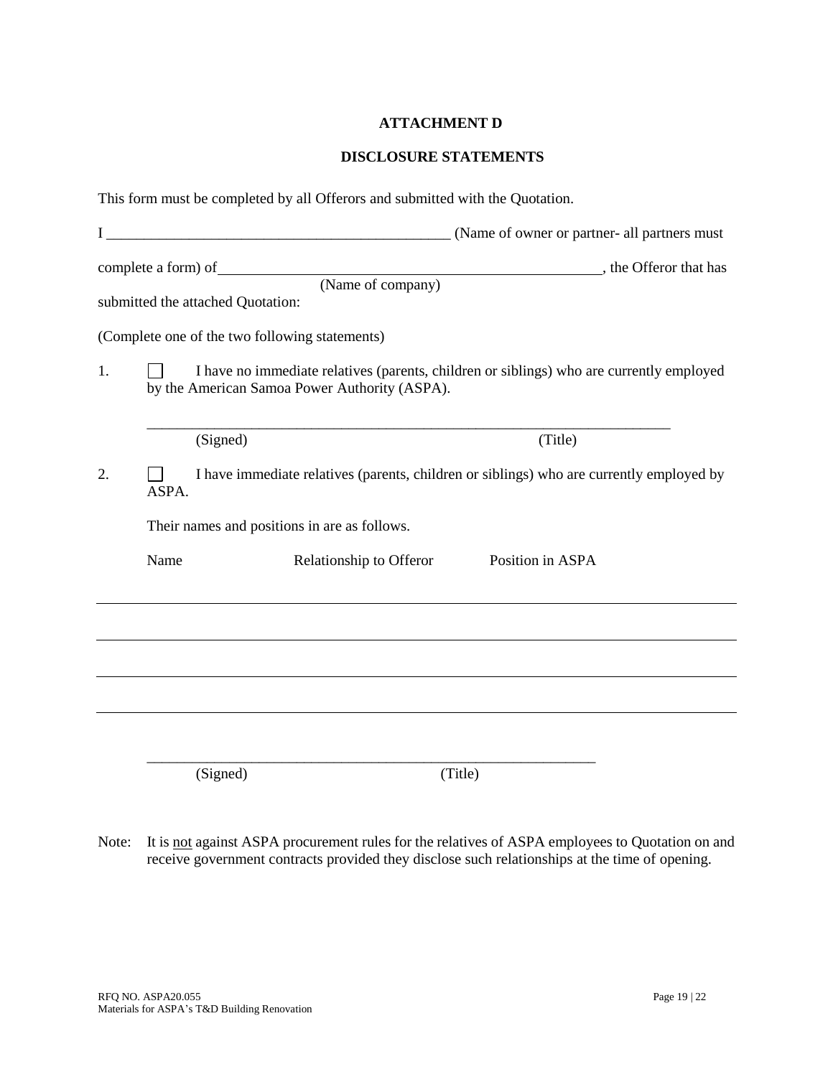## **ATTACHMENT D**

### **DISCLOSURE STATEMENTS**

|    |       | This form must be completed by all Offerors and submitted with the Quotation.                                                             |                                          |  |
|----|-------|-------------------------------------------------------------------------------------------------------------------------------------------|------------------------------------------|--|
|    |       |                                                                                                                                           |                                          |  |
|    |       | submitted the attached Quotation:                                                                                                         | (Name of company) , the Offeror that has |  |
|    |       | (Complete one of the two following statements)                                                                                            |                                          |  |
| 1. |       | I have no immediate relatives (parents, children or siblings) who are currently employed<br>by the American Samoa Power Authority (ASPA). |                                          |  |
|    |       | (Signed)                                                                                                                                  | (Title)                                  |  |
| 2. | ASPA. | I have immediate relatives (parents, children or siblings) who are currently employed by                                                  |                                          |  |
|    |       | Their names and positions in are as follows.                                                                                              |                                          |  |
|    | Name  | Relationship to Offeror                                                                                                                   | Position in ASPA                         |  |
|    |       |                                                                                                                                           |                                          |  |
|    |       |                                                                                                                                           |                                          |  |
|    |       |                                                                                                                                           |                                          |  |
|    |       | (Signed)                                                                                                                                  | (Title)                                  |  |

Note: It is not against ASPA procurement rules for the relatives of ASPA employees to Quotation on and receive government contracts provided they disclose such relationships at the time of opening.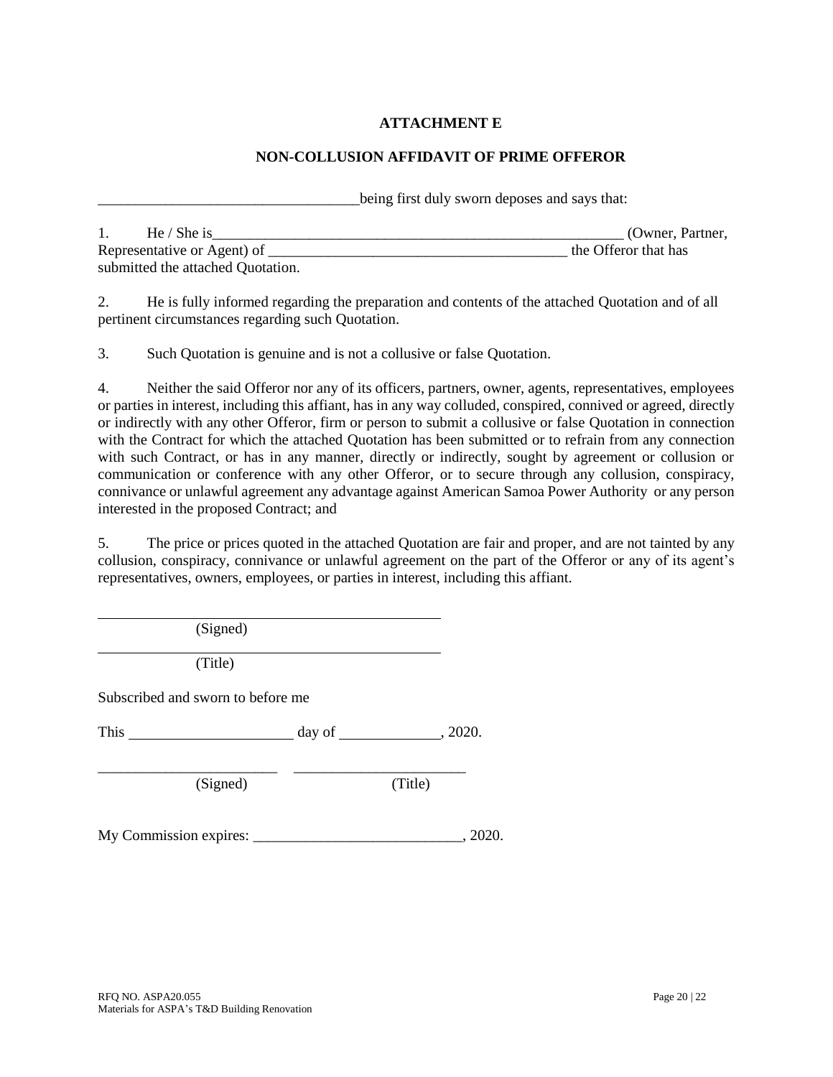# **ATTACHMENT E**

## **NON-COLLUSION AFFIDAVIT OF PRIME OFFEROR**

being first duly sworn deposes and says that:

| He / She is                       | (Owner, Partner,     |
|-----------------------------------|----------------------|
| Representative or Agent) of       | the Offeror that has |
| submitted the attached Quotation. |                      |

2. He is fully informed regarding the preparation and contents of the attached Quotation and of all pertinent circumstances regarding such Quotation.

3. Such Quotation is genuine and is not a collusive or false Quotation.

4. Neither the said Offeror nor any of its officers, partners, owner, agents, representatives, employees or parties in interest, including this affiant, has in any way colluded, conspired, connived or agreed, directly or indirectly with any other Offeror, firm or person to submit a collusive or false Quotation in connection with the Contract for which the attached Quotation has been submitted or to refrain from any connection with such Contract, or has in any manner, directly or indirectly, sought by agreement or collusion or communication or conference with any other Offeror, or to secure through any collusion, conspiracy, connivance or unlawful agreement any advantage against American Samoa Power Authority or any person interested in the proposed Contract; and

5. The price or prices quoted in the attached Quotation are fair and proper, and are not tainted by any collusion, conspiracy, connivance or unlawful agreement on the part of the Offeror or any of its agent's representatives, owners, employees, or parties in interest, including this affiant.

(Signed)

(Title)

Subscribed and sworn to before me

This day of , 2020.

\_\_\_\_\_\_\_\_\_\_\_\_\_\_\_\_\_\_\_\_\_\_\_\_ \_\_\_\_\_\_\_\_\_\_\_\_\_\_\_\_\_\_\_\_\_\_\_

(Signed) (Title)

My Commission expires: \_\_\_\_\_\_\_\_\_\_\_\_\_\_\_\_\_\_\_\_\_\_\_\_\_\_\_\_, 2020.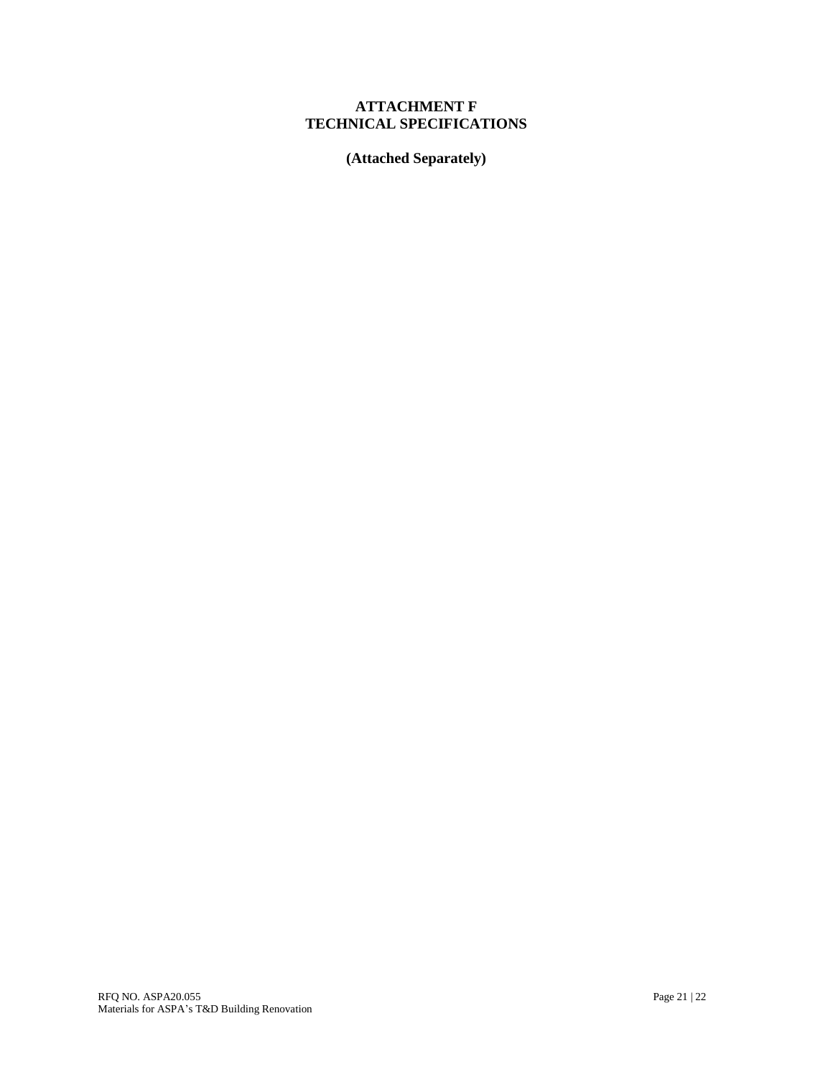## **ATTACHMENT F TECHNICAL SPECIFICATIONS**

**(Attached Separately)**